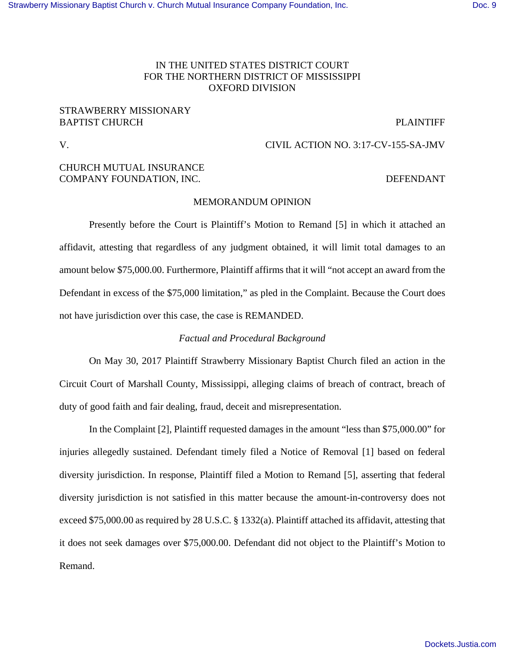## IN THE UNITED STATES DISTRICT COURT FOR THE NORTHERN DISTRICT OF MISSISSIPPI OXFORD DIVISION

## STRAWBERRY MISSIONARY BAPTIST CHURCH PLAINTIFF

## V. CIVIL ACTION NO. 3:17-CV-155-SA-JMV

# CHURCH MUTUAL INSURANCE COMPANY FOUNDATION, INC. DEFENDANT

## MEMORANDUM OPINION

Presently before the Court is Plaintiff's Motion to Remand [5] in which it attached an affidavit, attesting that regardless of any judgment obtained, it will limit total damages to an amount below \$75,000.00. Furthermore, Plaintiff affirms that it will "not accept an award from the Defendant in excess of the \$75,000 limitation," as pled in the Complaint. Because the Court does not have jurisdiction over this case, the case is REMANDED.

## *Factual and Procedural Background*

On May 30, 2017 Plaintiff Strawberry Missionary Baptist Church filed an action in the Circuit Court of Marshall County, Mississippi, alleging claims of breach of contract, breach of duty of good faith and fair dealing, fraud, deceit and misrepresentation.

In the Complaint [2], Plaintiff requested damages in the amount "less than \$75,000.00" for injuries allegedly sustained. Defendant timely filed a Notice of Removal [1] based on federal diversity jurisdiction. In response, Plaintiff filed a Motion to Remand [5], asserting that federal diversity jurisdiction is not satisfied in this matter because the amount-in-controversy does not exceed \$75,000.00 as required by 28 U.S.C. § 1332(a). Plaintiff attached its affidavit, attesting that it does not seek damages over \$75,000.00. Defendant did not object to the Plaintiff's Motion to Remand.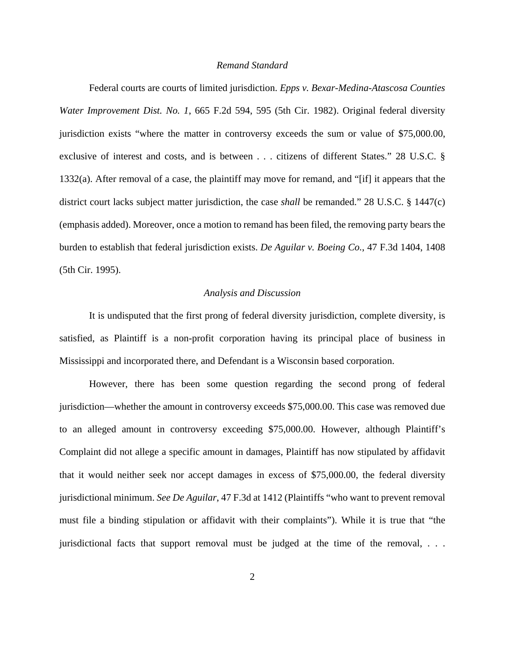### *Remand Standard*

Federal courts are courts of limited jurisdiction. *Epps v. Bexar-Medina-Atascosa Counties Water Improvement Dist. No. 1*, 665 F.2d 594, 595 (5th Cir. 1982). Original federal diversity jurisdiction exists "where the matter in controversy exceeds the sum or value of \$75,000.00, exclusive of interest and costs, and is between . . . citizens of different States." 28 U.S.C. § 1332(a). After removal of a case, the plaintiff may move for remand, and "[if] it appears that the district court lacks subject matter jurisdiction, the case *shall* be remanded." 28 U.S.C. § 1447(c) (emphasis added). Moreover, once a motion to remand has been filed, the removing party bears the burden to establish that federal jurisdiction exists. *De Aguilar v. Boeing Co.*, 47 F.3d 1404, 1408 (5th Cir. 1995).

### *Analysis and Discussion*

 It is undisputed that the first prong of federal diversity jurisdiction, complete diversity, is satisfied, as Plaintiff is a non-profit corporation having its principal place of business in Mississippi and incorporated there, and Defendant is a Wisconsin based corporation.

However, there has been some question regarding the second prong of federal jurisdiction—whether the amount in controversy exceeds \$75,000.00. This case was removed due to an alleged amount in controversy exceeding \$75,000.00. However, although Plaintiff's Complaint did not allege a specific amount in damages, Plaintiff has now stipulated by affidavit that it would neither seek nor accept damages in excess of \$75,000.00, the federal diversity jurisdictional minimum. *See De Aguilar*, 47 F.3d at 1412 (Plaintiffs "who want to prevent removal must file a binding stipulation or affidavit with their complaints"). While it is true that "the jurisdictional facts that support removal must be judged at the time of the removal, . . .